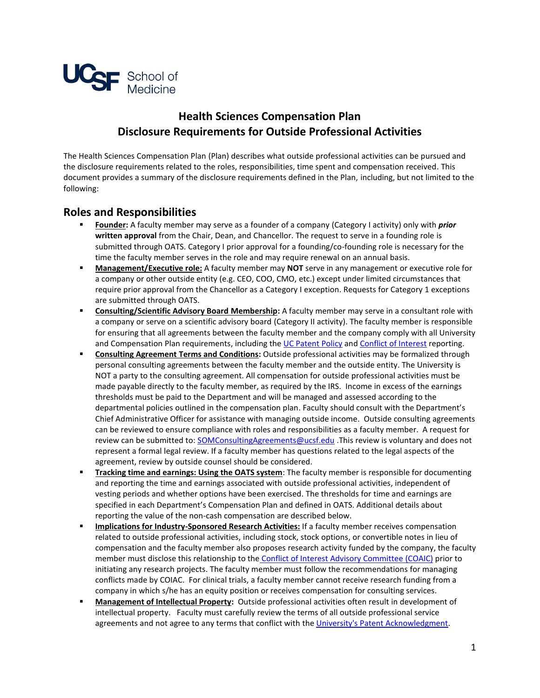

## **Health Sciences Compensation Plan Disclosure Requirements for Outside Professional Activities**

The Health Sciences Compensation Plan (Plan) describes what outside professional activities can be pursued and the disclosure requirements related to the roles, responsibilities, time spent and compensation received. This document provides a summary of the disclosure requirements defined in the Plan, including, but not limited to the following:

## **Roles and Responsibilities**

- **Founder:** A faculty member may serve as a founder of a company (Category I activity) only with *prior* **written approval** from the Chair, Dean, and Chancellor. The request to serve in a founding role is submitted through OATS. Category I prior approval for a founding/co-founding role is necessary for the time the faculty member serves in the role and may require renewal on an annual basis.
- **Management/Executive role:** A faculty member may **NOT** serve in any management or executive role for a company or other outside entity (e.g. CEO, COO, CMO, etc.) except under limited circumstances that require prior approval from the Chancellor as a Category I exception. Requests for Category 1 exceptions are submitted through OATS.
- **Consulting/Scientific Advisory Board Membership:** A faculty member may serve in a consultant role with a company or serve on a scientific advisory board (Category II activity). The faculty member is responsible for ensuring that all agreements between the faculty member and the company comply with all University and Compensation Plan requirements, including the UC Patent Policy and Conflict of Interest reporting.
- **Consulting Agreement Terms and Conditions:** Outside professional activities may be formalized through personal consulting agreements between the faculty member and the outside entity. The University is NOT a party to the consulting agreement. All compensation for outside professional activities must be made payable directly to the faculty member, as required by the IRS. Income in excess of the earnings thresholds must be paid to the Department and will be managed and assessed according to the departmental policies outlined in the compensation plan. Faculty should consult with the Department's Chief Administrative Officer for assistance with managing outside income. Outside consulting agreements can be reviewed to ensure compliance with roles and responsibilities as a faculty member. A request for review can be submitted to: SOMConsultingAgreements@ucsf.edu .This review is voluntary and does not represent a formal legal review. If a faculty member has questions related to the legal aspects of the agreement, review by outside counsel should be considered.
- **Tracking time and earnings: Using the OATS system:** The faculty member is responsible for documenting and reporting the time and earnings associated with outside professional activities, independent of vesting periods and whether options have been exercised. The thresholds for time and earnings are specified in each Department's Compensation Plan and defined in OATS. Additional details about reporting the value of the non-cash compensation are described below.
- **Implications for Industry-Sponsored Research Activities:** If a faculty member receives compensation related to outside professional activities, including stock, stock options, or convertible notes in lieu of compensation and the faculty member also proposes research activity funded by the company, the faculty member must disclose this relationship to the Conflict of Interest Advisory Committee (COAIC) prior to initiating any research projects. The faculty member must follow the recommendations for managing conflicts made by COIAC. For clinical trials, a faculty member cannot receive research funding from a company in which s/he has an equity position or receives compensation for consulting services.
- **Management of Intellectual Property:** Outside professional activities often result in development of intellectual property. Faculty must carefully review the terms of all outside professional service agreements and not agree to any terms that conflict with the University's Patent Acknowledgment.